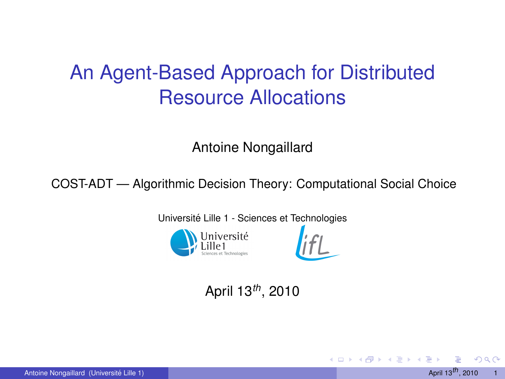## An Agent-Based Approach for Distributed Resource Allocations

Antoine Nongaillard

COST-ADT — Algorithmic Decision Theory: Computational Social Choice

Université Lille 1 - Sciences et Technologies



### April 13*th*, 2010

つひひ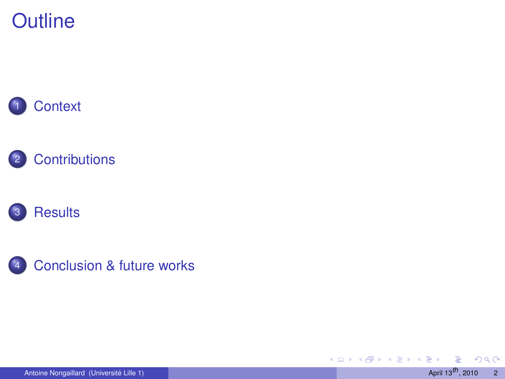









Antoine Nongaillard (Université Lille 1) **Accessible 2010 April 13<sup>th</sup>, 2010** 2

 $\rightarrow$ 

 $2Q$ 

**K ロ ▶ K 御 ▶ K 君 ▶ K 君**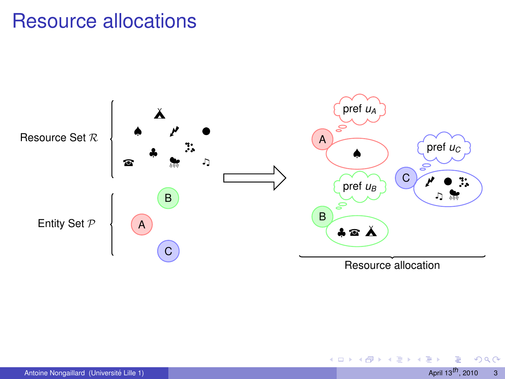### Resource allocations



∍

<span id="page-2-0"></span> $290$ 

4 0 8 4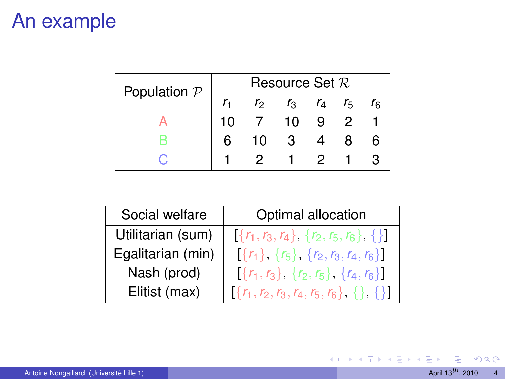### An example

| Population $P$ | Resource Set $R$ |               |    |             |                |  |
|----------------|------------------|---------------|----|-------------|----------------|--|
|                |                  | $\mathcal{L}$ |    | $r_3$ $r_4$ | r <sub>5</sub> |  |
|                | 10               |               | 10 | 9           | - 2            |  |
|                |                  | 10            | 3  |             |                |  |
|                |                  |               |    | 2.          |                |  |

| Social welfare    | Optimal allocation                               |
|-------------------|--------------------------------------------------|
| Utilitarian (sum) | $[\{r_1, r_3, r_4\}, \{r_2, r_5, r_6\}, \{\}]$   |
| Egalitarian (min) | $[\{r_1\}, \{r_5\}, \{r_2, r_3, r_4, r_6\}]$     |
| Nash (prod)       | $[\{r_1, r_3\}, \{r_2, r_5\}, \{r_4, r_6\}]$     |
| Elitist (max)     | $[\{r_1, r_2, r_3, r_4, r_5, r_6\}, \{\}, \{\}]$ |

 $299$ 

メロトメ 伊 トメ ミトメ ミト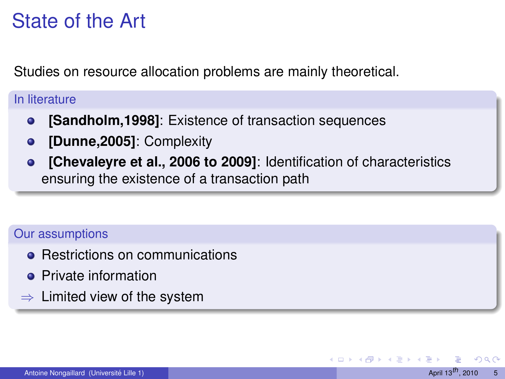## State of the Art

Studies on resource allocation problems are mainly theoretical.

#### In literature

- **[Sandholm,1998]**: Existence of transaction sequences  $\bullet$
- **[Dunne,2005]**: Complexity  $\bullet$
- **[Chevaleyre et al., 2006 to 2009]**: Identification of characteristics  $\bullet$ ensuring the existence of a transaction path

#### Our assumptions

- Restrictions on communications
- **•** Private information
- $\Rightarrow$  Limited view of the system

つのへ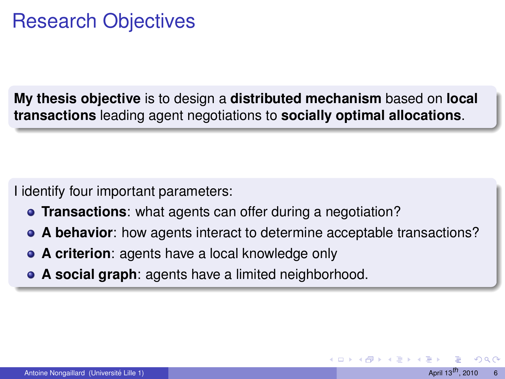### Research Objectives

**My thesis objective** is to design a **distributed mechanism** based on **local transactions** leading agent negotiations to **socially optimal allocations**.

I identify four important parameters:

- **Transactions**: what agents can offer during a negotiation?
- **A behavior**: how agents interact to determine acceptable transactions?
- **A criterion**: agents have a local knowledge only
- <span id="page-5-0"></span>**A social graph**: agents have a limited neighborhood.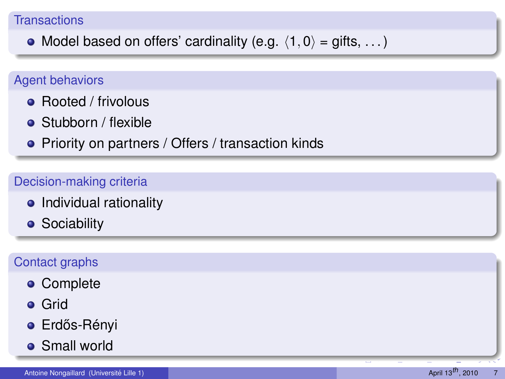#### **Transactions**

• Model based on offers' cardinality (e.g.  $\langle 1, 0 \rangle = \text{giffs}, \dots$ )

#### Agent behaviors

- Rooted / frivolous
- Stubborn / flexible
- Priority on partners / Offers / transaction kinds

#### Decision-making criteria

- Individual rationality
- **•** Sociability

#### Contact graphs

- **•** Complete
- **o** Grid
- **·** Erdős-Rényi
- **•** Small world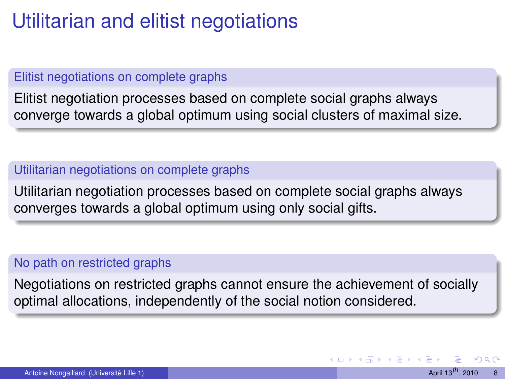### Utilitarian and elitist negotiations

#### Elitist negotiations on complete graphs

Elitist negotiation processes based on complete social graphs always converge towards a global optimum using social clusters of maximal size.

#### Utilitarian negotiations on complete graphs

Utilitarian negotiation processes based on complete social graphs always converges towards a global optimum using only social gifts.

#### No path on restricted graphs

Negotiations on restricted graphs cannot ensure the achievement of socially optimal allocations, independently of the social notion considered.

<span id="page-7-0"></span> $QQ$ 

K ロ ⊁ K 倒 ≯ K 走 ⊁ K 走 ⊁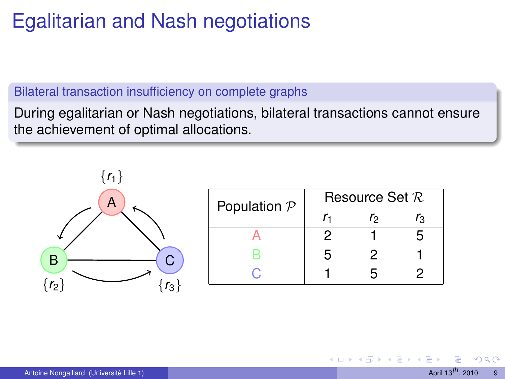## Egalitarian and Nash negotiations

#### Bilateral transaction insufficiency on complete graphs

During egalitarian or Nash negotiations, bilateral transactions cannot ensure the achievement of optimal allocations.



| Population $P$ | Resource Set $R$ |    |    |  |  |
|----------------|------------------|----|----|--|--|
|                |                  | rо | ľз |  |  |
|                | 2                |    | ҕ  |  |  |
| н              | 5                | 2  |    |  |  |
|                |                  | г, |    |  |  |

つひひ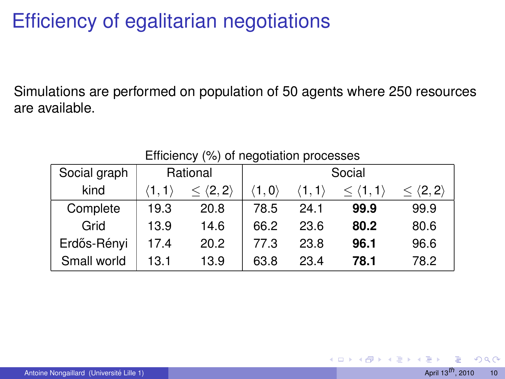## Efficiency of egalitarian negotiations

Simulations are performed on population of 50 agents where 250 resources are available.

| Social graph | Rational              |                        | Social |      |                       |                            |
|--------------|-----------------------|------------------------|--------|------|-----------------------|----------------------------|
| kind         | $\langle 1.1 \rangle$ | $\langle 2, 2 \rangle$ | 1.0    |      | $\langle 1,1 \rangle$ | $<$ $\langle 2, 2 \rangle$ |
| Complete     | 19.3                  | 20.8                   | 78.5   | 24.1 | 99.9                  | 99.9                       |
| Grid         | 13.9                  | 14.6                   | 66.2   | 23.6 | 80.2                  | 80.6                       |
| Erdős-Rényi  | 17.4                  | 20.2                   | 77.3   | 23.8 | 96.1                  | 96.6                       |
| Small world  | 13.1                  | 13.9                   | 63.8   | 23.4 | 78.1                  | 78.2                       |

Efficiency (%) of negotiation processes

 $QQ$ 

(□ ) (n)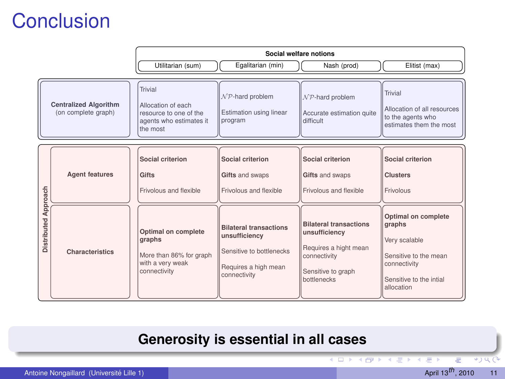## **Conclusion**

|                  |                                                     | Social welfare notions                                                                         |                                                                                                                    |                                                                                                                              |                                                                                                                                  |  |
|------------------|-----------------------------------------------------|------------------------------------------------------------------------------------------------|--------------------------------------------------------------------------------------------------------------------|------------------------------------------------------------------------------------------------------------------------------|----------------------------------------------------------------------------------------------------------------------------------|--|
|                  |                                                     | Utilitarian (sum)                                                                              | Egalitarian (min)                                                                                                  | Nash (prod)                                                                                                                  | Elitist (max)                                                                                                                    |  |
|                  | <b>Centralized Algorithm</b><br>(on complete graph) | Trivial<br>Allocation of each<br>resource to one of the<br>agents who estimates it<br>the most | $N$ P-hard problem<br>Estimation using linear<br>program                                                           | $N$ P-hard problem<br>Accurate estimation quite<br>difficult                                                                 | Trivial<br>Allocation of all resources<br>to the agents who<br>estimates them the most                                           |  |
| pproach          | <b>Agent features</b>                               | Social criterion<br>Gifts<br>Frivolous and flexible                                            | Social criterion<br>Gifts and swaps<br>Frivolous and flexible                                                      | Social criterion<br>Gifts and swaps<br>Frivolous and flexible                                                                | Social criterion<br><b>Clusters</b><br>Frivolous                                                                                 |  |
| ₹<br>Distributed | Characteristics                                     | Optimal on complete<br>graphs<br>More than 86% for graph<br>with a very weak<br>connectivity   | <b>Bilateral transactions</b><br>unsufficiency<br>Sensitive to bottlenecks<br>Requires a high mean<br>connectivity | <b>Bilateral transactions</b><br>unsufficiency<br>Requires a hight mean<br>connectivity<br>Sensitive to graph<br>bottlenecks | Optimal on complete<br>graphs<br>Very scalable<br>Sensitive to the mean<br>connectivity<br>Sensitive to the intial<br>allocation |  |

### **Generosity is essential in all cases**

 $\leftarrow$ 

۳V

<span id="page-10-0"></span> $*$ ) Q (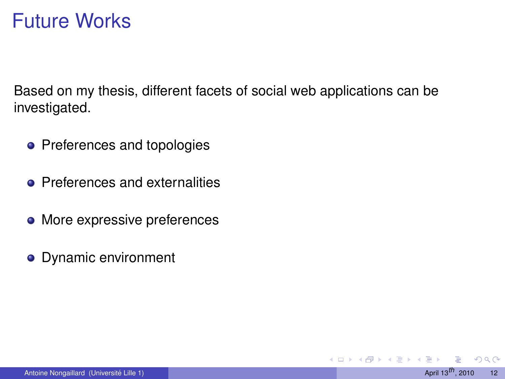### Future Works

Based on my thesis, different facets of social web applications can be investigated.

- Preferences and topologies
- **Preferences and externalities**
- More expressive preferences
- **•** Dynamic environment

4 0 8

 $QQ$